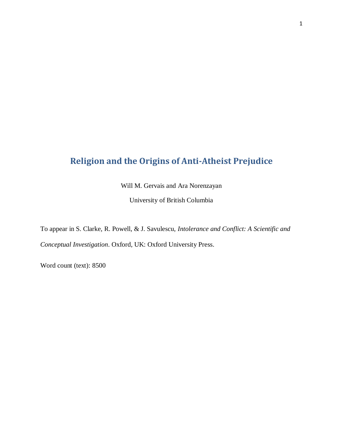# **Religion and the Origins of Anti-Atheist Prejudice**

Will M. Gervais and Ara Norenzayan

University of British Columbia

To appear in S. Clarke, R. Powell, & J. Savulescu, *Intolerance and Conflict: A Scientific and Conceptual Investigation*. Oxford, UK: Oxford University Press.

Word count (text): 8500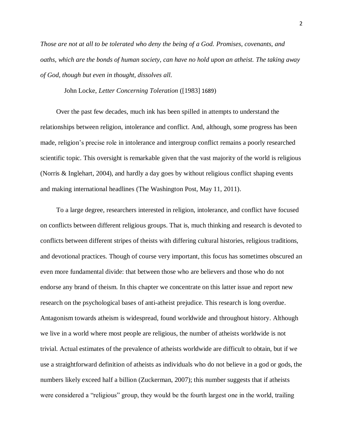*Those are not at all to be tolerated who deny the being of a God. Promises, covenants, and oaths, which are the bonds of human society, can have no hold upon an atheist. The taking away of God, though but even in thought, dissolves all.*

John Locke, *Letter Concerning Toleration* ([1983] 1689)

Over the past few decades, much ink has been spilled in attempts to understand the relationships between religion, intolerance and conflict. And, although, some progress has been made, religion's precise role in intolerance and intergroup conflict remains a poorly researched scientific topic. This oversight is remarkable given that the vast majority of the world is religious (Norris & Inglehart, 2004), and hardly a day goes by without religious conflict shaping events and making international headlines (The Washington Post, May 11, 2011).

To a large degree, researchers interested in religion, intolerance, and conflict have focused on conflicts between different religious groups. That is, much thinking and research is devoted to conflicts between different stripes of theists with differing cultural histories, religious traditions, and devotional practices. Though of course very important, this focus has sometimes obscured an even more fundamental divide: that between those who are believers and those who do not endorse any brand of theism. In this chapter we concentrate on this latter issue and report new research on the psychological bases of anti-atheist prejudice. This research is long overdue. Antagonism towards atheism is widespread, found worldwide and throughout history. Although we live in a world where most people are religious, the number of atheists worldwide is not trivial. Actual estimates of the prevalence of atheists worldwide are difficult to obtain, but if we use a straightforward definition of atheists as individuals who do not believe in a god or gods, the numbers likely exceed half a billion (Zuckerman, 2007); this number suggests that if atheists were considered a "religious" group, they would be the fourth largest one in the world, trailing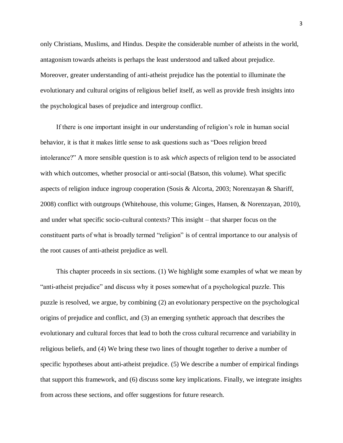only Christians, Muslims, and Hindus. Despite the considerable number of atheists in the world, antagonism towards atheists is perhaps the least understood and talked about prejudice. Moreover, greater understanding of anti-atheist prejudice has the potential to illuminate the evolutionary and cultural origins of religious belief itself, as well as provide fresh insights into the psychological bases of prejudice and intergroup conflict.

If there is one important insight in our understanding of religion's role in human social behavior, it is that it makes little sense to ask questions such as "Does religion breed intolerance?‖ A more sensible question is to ask *which* aspects of religion tend to be associated with which outcomes, whether prosocial or anti-social (Batson, this volume). What specific aspects of religion induce ingroup cooperation (Sosis & Alcorta, 2003; Norenzayan & Shariff, 2008) conflict with outgroups (Whitehouse, this volume; Ginges, Hansen, & Norenzayan, 2010), and under what specific socio-cultural contexts? This insight – that sharper focus on the constituent parts of what is broadly termed "religion" is of central importance to our analysis of the root causes of anti-atheist prejudice as well.

This chapter proceeds in six sections. (1) We highlight some examples of what we mean by "anti-atheist prejudice" and discuss why it poses somewhat of a psychological puzzle. This puzzle is resolved, we argue, by combining (2) an evolutionary perspective on the psychological origins of prejudice and conflict, and (3) an emerging synthetic approach that describes the evolutionary and cultural forces that lead to both the cross cultural recurrence and variability in religious beliefs, and (4) We bring these two lines of thought together to derive a number of specific hypotheses about anti-atheist prejudice. (5) We describe a number of empirical findings that support this framework, and (6) discuss some key implications. Finally, we integrate insights from across these sections, and offer suggestions for future research.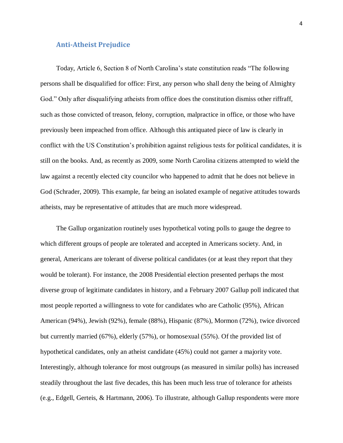#### **Anti-Atheist Prejudice**

Today, Article 6, Section 8 of North Carolina's state constitution reads "The following persons shall be disqualified for office: First, any person who shall deny the being of Almighty God." Only after disqualifying atheists from office does the constitution dismiss other riffraff, such as those convicted of treason, felony, corruption, malpractice in office, or those who have previously been impeached from office. Although this antiquated piece of law is clearly in conflict with the US Constitution's prohibition against religious tests for political candidates, it is still on the books. And, as recently as 2009, some North Carolina citizens attempted to wield the law against a recently elected city councilor who happened to admit that he does not believe in God (Schrader, 2009). This example, far being an isolated example of negative attitudes towards atheists, may be representative of attitudes that are much more widespread.

The Gallup organization routinely uses hypothetical voting polls to gauge the degree to which different groups of people are tolerated and accepted in Americans society. And, in general, Americans are tolerant of diverse political candidates (or at least they report that they would be tolerant). For instance, the 2008 Presidential election presented perhaps the most diverse group of legitimate candidates in history, and a February 2007 Gallup poll indicated that most people reported a willingness to vote for candidates who are Catholic (95%), African American (94%), Jewish (92%), female (88%), Hispanic (87%), Mormon (72%), twice divorced but currently married (67%), elderly (57%), or homosexual (55%). Of the provided list of hypothetical candidates, only an atheist candidate (45%) could not garner a majority vote. Interestingly, although tolerance for most outgroups (as measured in similar polls) has increased steadily throughout the last five decades, this has been much less true of tolerance for atheists (e.g., Edgell, Gerteis, & Hartmann, 2006). To illustrate, although Gallup respondents were more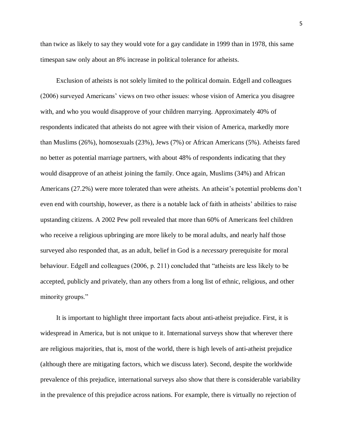than twice as likely to say they would vote for a gay candidate in 1999 than in 1978, this same timespan saw only about an 8% increase in political tolerance for atheists.

Exclusion of atheists is not solely limited to the political domain. Edgell and colleagues (2006) surveyed Americans' views on two other issues: whose vision of America you disagree with, and who you would disapprove of your children marrying. Approximately 40% of respondents indicated that atheists do not agree with their vision of America, markedly more than Muslims (26%), homosexuals (23%), Jews (7%) or African Americans (5%). Atheists fared no better as potential marriage partners, with about 48% of respondents indicating that they would disapprove of an atheist joining the family. Once again, Muslims (34%) and African Americans (27.2%) were more tolerated than were atheists. An atheist's potential problems don't even end with courtship, however, as there is a notable lack of faith in atheists' abilities to raise upstanding citizens. A 2002 Pew poll revealed that more than 60% of Americans feel children who receive a religious upbringing are more likely to be moral adults, and nearly half those surveyed also responded that, as an adult, belief in God is a *necessary* prerequisite for moral behaviour. Edgell and colleagues  $(2006, p. 211)$  concluded that "atheists are less likely to be accepted, publicly and privately, than any others from a long list of ethnic, religious, and other minority groups."

It is important to highlight three important facts about anti-atheist prejudice. First, it is widespread in America, but is not unique to it. International surveys show that wherever there are religious majorities, that is, most of the world, there is high levels of anti-atheist prejudice (although there are mitigating factors, which we discuss later). Second, despite the worldwide prevalence of this prejudice, international surveys also show that there is considerable variability in the prevalence of this prejudice across nations. For example, there is virtually no rejection of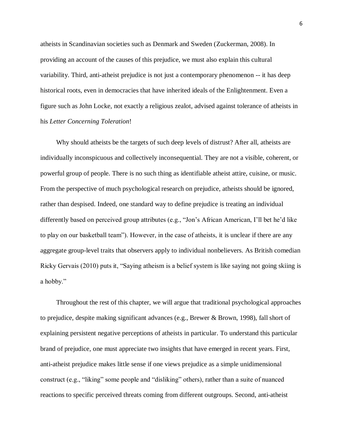atheists in Scandinavian societies such as Denmark and Sweden (Zuckerman, 2008). In providing an account of the causes of this prejudice, we must also explain this cultural variability. Third, anti-atheist prejudice is not just a contemporary phenomenon -- it has deep historical roots, even in democracies that have inherited ideals of the Enlightenment. Even a figure such as John Locke, not exactly a religious zealot, advised against tolerance of atheists in his *Letter Concerning Toleration*!

Why should atheists be the targets of such deep levels of distrust? After all, atheists are individually inconspicuous and collectively inconsequential. They are not a visible, coherent, or powerful group of people. There is no such thing as identifiable atheist attire, cuisine, or music. From the perspective of much psychological research on prejudice, atheists should be ignored, rather than despised. Indeed, one standard way to define prejudice is treating an individual differently based on perceived group attributes (e.g., "Jon's African American, I'll bet he'd like to play on our basketball team"). However, in the case of atheists, it is unclear if there are any aggregate group-level traits that observers apply to individual nonbelievers. As British comedian Ricky Gervais (2010) puts it, "Saying atheism is a belief system is like saying not going skiing is a hobby."

Throughout the rest of this chapter, we will argue that traditional psychological approaches to prejudice, despite making significant advances (e.g., Brewer & Brown, 1998), fall short of explaining persistent negative perceptions of atheists in particular. To understand this particular brand of prejudice, one must appreciate two insights that have emerged in recent years. First, anti-atheist prejudice makes little sense if one views prejudice as a simple unidimensional construct (e.g., "liking" some people and "disliking" others), rather than a suite of nuanced reactions to specific perceived threats coming from different outgroups. Second, anti-atheist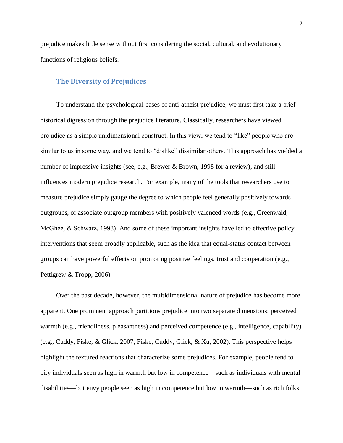prejudice makes little sense without first considering the social, cultural, and evolutionary functions of religious beliefs.

## **The Diversity of Prejudices**

To understand the psychological bases of anti-atheist prejudice, we must first take a brief historical digression through the prejudice literature. Classically, researchers have viewed prejudice as a simple unidimensional construct. In this view, we tend to "like" people who are similar to us in some way, and we tend to "dislike" dissimilar others. This approach has yielded a number of impressive insights (see, e.g., Brewer & Brown, 1998 for a review), and still influences modern prejudice research. For example, many of the tools that researchers use to measure prejudice simply gauge the degree to which people feel generally positively towards outgroups, or associate outgroup members with positively valenced words (e.g., Greenwald, McGhee, & Schwarz, 1998). And some of these important insights have led to effective policy interventions that seem broadly applicable, such as the idea that equal-status contact between groups can have powerful effects on promoting positive feelings, trust and cooperation (e.g., Pettigrew & Tropp, 2006).

Over the past decade, however, the multidimensional nature of prejudice has become more apparent. One prominent approach partitions prejudice into two separate dimensions: perceived warmth (e.g., friendliness, pleasantness) and perceived competence (e.g., intelligence, capability) (e.g., Cuddy, Fiske, & Glick, 2007; Fiske, Cuddy, Glick, & Xu, 2002). This perspective helps highlight the textured reactions that characterize some prejudices. For example, people tend to pity individuals seen as high in warmth but low in competence—such as individuals with mental disabilities—but envy people seen as high in competence but low in warmth—such as rich folks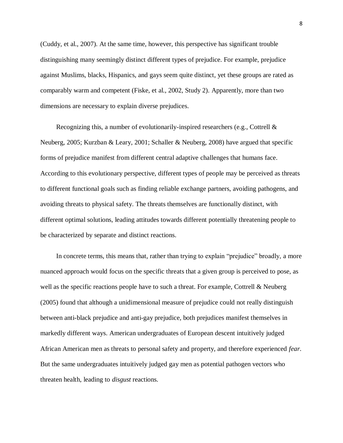(Cuddy, et al., 2007). At the same time, however, this perspective has significant trouble distinguishing many seemingly distinct different types of prejudice. For example, prejudice against Muslims, blacks, Hispanics, and gays seem quite distinct, yet these groups are rated as comparably warm and competent (Fiske, et al., 2002, Study 2). Apparently, more than two dimensions are necessary to explain diverse prejudices.

Recognizing this, a number of evolutionarily-inspired researchers (e.g., Cottrell & Neuberg, 2005; Kurzban & Leary, 2001; Schaller & Neuberg, 2008) have argued that specific forms of prejudice manifest from different central adaptive challenges that humans face. According to this evolutionary perspective, different types of people may be perceived as threats to different functional goals such as finding reliable exchange partners, avoiding pathogens, and avoiding threats to physical safety. The threats themselves are functionally distinct, with different optimal solutions, leading attitudes towards different potentially threatening people to be characterized by separate and distinct reactions.

In concrete terms, this means that, rather than trying to explain "prejudice" broadly, a more nuanced approach would focus on the specific threats that a given group is perceived to pose, as well as the specific reactions people have to such a threat. For example, Cottrell & Neuberg (2005) found that although a unidimensional measure of prejudice could not really distinguish between anti-black prejudice and anti-gay prejudice, both prejudices manifest themselves in markedly different ways. American undergraduates of European descent intuitively judged African American men as threats to personal safety and property, and therefore experienced *fear*. But the same undergraduates intuitively judged gay men as potential pathogen vectors who threaten health, leading to *disgust* reactions.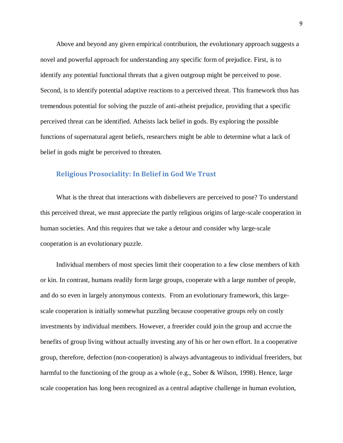Above and beyond any given empirical contribution, the evolutionary approach suggests a novel and powerful approach for understanding any specific form of prejudice. First, is to identify any potential functional threats that a given outgroup might be perceived to pose. Second, is to identify potential adaptive reactions to a perceived threat. This framework thus has tremendous potential for solving the puzzle of anti-atheist prejudice, providing that a specific perceived threat can be identified. Atheists lack belief in gods. By exploring the possible functions of supernatural agent beliefs, researchers might be able to determine what a lack of belief in gods might be perceived to threaten.

## **Religious Prosociality: In Belief in God We Trust**

What is the threat that interactions with disbelievers are perceived to pose? To understand this perceived threat, we must appreciate the partly religious origins of large-scale cooperation in human societies. And this requires that we take a detour and consider why large-scale cooperation is an evolutionary puzzle.

Individual members of most species limit their cooperation to a few close members of kith or kin. In contrast, humans readily form large groups, cooperate with a large number of people, and do so even in largely anonymous contexts. From an evolutionary framework, this largescale cooperation is initially somewhat puzzling because cooperative groups rely on costly investments by individual members. However, a freerider could join the group and accrue the benefits of group living without actually investing any of his or her own effort. In a cooperative group, therefore, defection (non-cooperation) is always advantageous to individual freeriders, but harmful to the functioning of the group as a whole (e.g., Sober & Wilson, 1998). Hence, large scale cooperation has long been recognized as a central adaptive challenge in human evolution,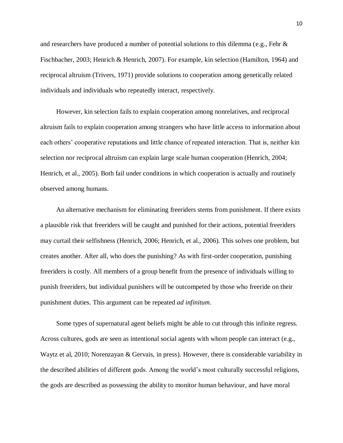and researchers have produced a number of potential solutions to this dilemma (e.g., Fehr & Fischbacher, 2003; Henrich & Henrich, 2007). For example, kin selection (Hamilton, 1964) and reciprocal altruism (Trivers, 1971) provide solutions to cooperation among genetically related individuals and individuals who repeatedly interact, respectively.

However, kin selection fails to explain cooperation among nonrelatives, and reciprocal altruism fails to explain cooperation among strangers who have little access to information about each others' cooperative reputations and little chance of repeated interaction. That is, neither kin selection nor reciprocal altruism can explain large scale human cooperation (Henrich, 2004; Henrich, et al., 2005). Both fail under conditions in which cooperation is actually and routinely observed among humans.

An alternative mechanism for eliminating freeriders stems from punishment. If there exists a plausible risk that freeriders will be caught and punished for their actions, potential freeriders may curtail their selfishness (Henrich, 2006; Henrich, et al., 2006). This solves one problem, but creates another. After all, who does the punishing? As with first-order cooperation, punishing freeriders is costly. All members of a group benefit from the presence of individuals willing to punish freeriders, but individual punishers will be outcompeted by those who freeride on their punishment duties. This argument can be repeated *ad infinitum*.

Some types of supernatural agent beliefs might be able to cut through this infinite regress. Across cultures, gods are seen as intentional social agents with whom people can interact (e.g., Waytz et al, 2010; Norenzayan & Gervais, in press). However, there is considerable variability in the described abilities of different gods. Among the world's most culturally successful religions, the gods are described as possessing the ability to monitor human behaviour, and have moral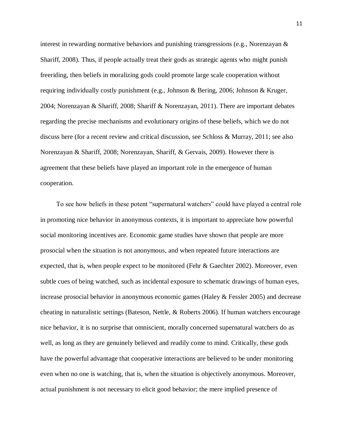interest in rewarding normative behaviors and punishing transgressions (e.g., Norenzayan & Shariff, 2008). Thus, if people actually treat their gods as strategic agents who might punish freeriding, then beliefs in moralizing gods could promote large scale cooperation without requiring individually costly punishment (e.g., Johnson & Bering, 2006; Johnson & Kruger, 2004; Norenzayan & Shariff, 2008; Shariff & Norenzayan, 2011). There are important debates regarding the precise mechanisms and evolutionary origins of these beliefs, which we do not discuss here (for a recent review and critical discussion, see Schloss & Murray, 2011; see also Norenzayan & Shariff, 2008; Norenzayan, Shariff, & Gervais, 2009). However there is agreement that these beliefs have played an important role in the emergence of human cooperation.

To see how beliefs in these potent "supernatural watchers" could have played a central role in promoting nice behavior in anonymous contexts, it is important to appreciate how powerful social monitoring incentives are. Economic game studies have shown that people are more prosocial when the situation is not anonymous, and when repeated future interactions are expected, that is, when people expect to be monitored (Fehr & Gaechter 2002). Moreover, even subtle cues of being watched, such as incidental exposure to schematic drawings of human eyes, increase prosocial behavior in anonymous economic games (Haley & Fessler 2005) and decrease cheating in naturalistic settings (Bateson, Nettle,  $\&$  Roberts 2006). If human watchers encourage nice behavior, it is no surprise that omniscient, morally concerned supernatural watchers do as well, as long as they are genuinely believed and readily come to mind. Critically, these gods have the powerful advantage that cooperative interactions are believed to be under monitoring even when no one is watching, that is, when the situation is objectively anonymous. Moreover, actual punishment is not necessary to elicit good behavior; the mere implied presence of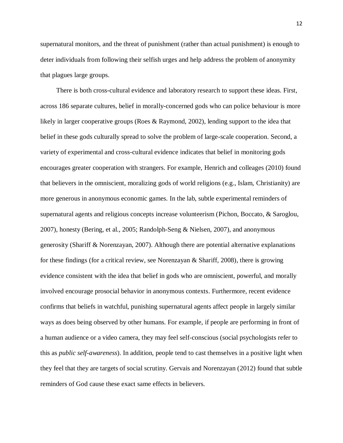supernatural monitors, and the threat of punishment (rather than actual punishment) is enough to deter individuals from following their selfish urges and help address the problem of anonymity that plagues large groups.

There is both cross-cultural evidence and laboratory research to support these ideas. First, across 186 separate cultures, belief in morally-concerned gods who can police behaviour is more likely in larger cooperative groups (Roes & Raymond, 2002), lending support to the idea that belief in these gods culturally spread to solve the problem of large-scale cooperation. Second, a variety of experimental and cross-cultural evidence indicates that belief in monitoring gods encourages greater cooperation with strangers. For example, Henrich and colleages (2010) found that believers in the omniscient, moralizing gods of world religions (e.g., Islam, Christianity) are more generous in anonymous economic games. In the lab, subtle experimental reminders of supernatural agents and religious concepts increase volunteerism (Pichon, Boccato, & Saroglou, 2007), honesty (Bering, et al., 2005; Randolph-Seng & Nielsen, 2007), and anonymous generosity (Shariff & Norenzayan, 2007). Although there are potential alternative explanations for these findings (for a critical review, see Norenzayan & Shariff, 2008), there is growing evidence consistent with the idea that belief in gods who are omniscient, powerful, and morally involved encourage prosocial behavior in anonymous contexts. Furthermore, recent evidence confirms that beliefs in watchful, punishing supernatural agents affect people in largely similar ways as does being observed by other humans. For example, if people are performing in front of a human audience or a video camera, they may feel self-conscious (social psychologists refer to this as *public self-awareness*). In addition, people tend to cast themselves in a positive light when they feel that they are targets of social scrutiny. Gervais and Norenzayan (2012) found that subtle reminders of God cause these exact same effects in believers.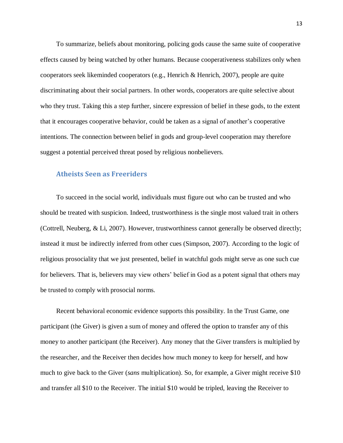To summarize, beliefs about monitoring, policing gods cause the same suite of cooperative effects caused by being watched by other humans. Because cooperativeness stabilizes only when cooperators seek likeminded cooperators (e.g., Henrich & Henrich, 2007), people are quite discriminating about their social partners. In other words, cooperators are quite selective about who they trust. Taking this a step further, sincere expression of belief in these gods, to the extent that it encourages cooperative behavior, could be taken as a signal of another's cooperative intentions. The connection between belief in gods and group-level cooperation may therefore suggest a potential perceived threat posed by religious nonbelievers.

# **Atheists Seen as Freeriders**

To succeed in the social world, individuals must figure out who can be trusted and who should be treated with suspicion. Indeed, trustworthiness is the single most valued trait in others (Cottrell, Neuberg, & Li, 2007). However, trustworthiness cannot generally be observed directly; instead it must be indirectly inferred from other cues (Simpson, 2007). According to the logic of religious prosociality that we just presented, belief in watchful gods might serve as one such cue for believers. That is, believers may view others' belief in God as a potent signal that others may be trusted to comply with prosocial norms.

Recent behavioral economic evidence supports this possibility. In the Trust Game, one participant (the Giver) is given a sum of money and offered the option to transfer any of this money to another participant (the Receiver). Any money that the Giver transfers is multiplied by the researcher, and the Receiver then decides how much money to keep for herself, and how much to give back to the Giver (*sans* multiplication). So, for example, a Giver might receive \$10 and transfer all \$10 to the Receiver. The initial \$10 would be tripled, leaving the Receiver to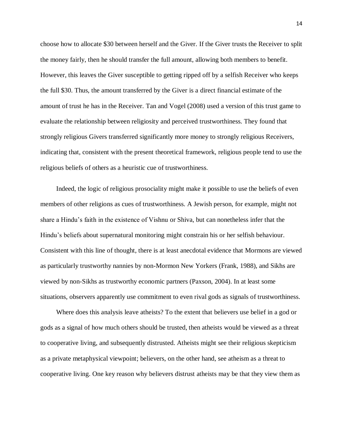choose how to allocate \$30 between herself and the Giver. If the Giver trusts the Receiver to split the money fairly, then he should transfer the full amount, allowing both members to benefit. However, this leaves the Giver susceptible to getting ripped off by a selfish Receiver who keeps the full \$30. Thus, the amount transferred by the Giver is a direct financial estimate of the amount of trust he has in the Receiver. Tan and Vogel (2008) used a version of this trust game to evaluate the relationship between religiosity and perceived trustworthiness. They found that strongly religious Givers transferred significantly more money to strongly religious Receivers, indicating that, consistent with the present theoretical framework, religious people tend to use the religious beliefs of others as a heuristic cue of trustworthiness.

Indeed, the logic of religious prosociality might make it possible to use the beliefs of even members of other religions as cues of trustworthiness. A Jewish person, for example, might not share a Hindu's faith in the existence of Vishnu or Shiva, but can nonetheless infer that the Hindu's beliefs about supernatural monitoring might constrain his or her selfish behaviour. Consistent with this line of thought, there is at least anecdotal evidence that Mormons are viewed as particularly trustworthy nannies by non-Mormon New Yorkers (Frank, 1988), and Sikhs are viewed by non-Sikhs as trustworthy economic partners (Paxson, 2004). In at least some situations, observers apparently use commitment to even rival gods as signals of trustworthiness.

Where does this analysis leave atheists? To the extent that believers use belief in a god or gods as a signal of how much others should be trusted, then atheists would be viewed as a threat to cooperative living, and subsequently distrusted. Atheists might see their religious skepticism as a private metaphysical viewpoint; believers, on the other hand, see atheism as a threat to cooperative living. One key reason why believers distrust atheists may be that they view them as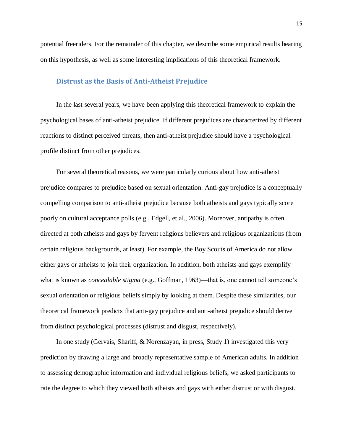potential freeriders. For the remainder of this chapter, we describe some empirical results bearing on this hypothesis, as well as some interesting implications of this theoretical framework.

#### **Distrust as the Basis of Anti-Atheist Prejudice**

In the last several years, we have been applying this theoretical framework to explain the psychological bases of anti-atheist prejudice. If different prejudices are characterized by different reactions to distinct perceived threats, then anti-atheist prejudice should have a psychological profile distinct from other prejudices.

For several theoretical reasons, we were particularly curious about how anti-atheist prejudice compares to prejudice based on sexual orientation. Anti-gay prejudice is a conceptually compelling comparison to anti-atheist prejudice because both atheists and gays typically score poorly on cultural acceptance polls (e.g., Edgell, et al., 2006). Moreover, antipathy is often directed at both atheists and gays by fervent religious believers and religious organizations (from certain religious backgrounds, at least). For example, the Boy Scouts of America do not allow either gays or atheists to join their organization. In addition, both atheists and gays exemplify what is known as *concealable stigma* (e.g., Goffman, 1963)—that is, one cannot tell someone's sexual orientation or religious beliefs simply by looking at them. Despite these similarities, our theoretical framework predicts that anti-gay prejudice and anti-atheist prejudice should derive from distinct psychological processes (distrust and disgust, respectively).

In one study (Gervais, Shariff, & Norenzayan, in press, Study 1) investigated this very prediction by drawing a large and broadly representative sample of American adults. In addition to assessing demographic information and individual religious beliefs, we asked participants to rate the degree to which they viewed both atheists and gays with either distrust or with disgust.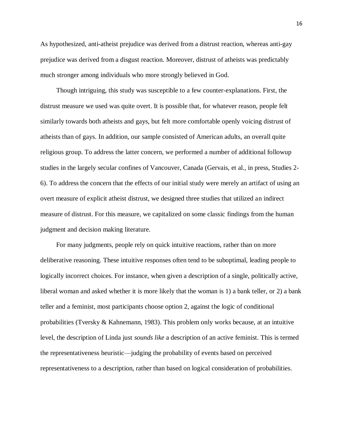As hypothesized, anti-atheist prejudice was derived from a distrust reaction, whereas anti-gay prejudice was derived from a disgust reaction. Moreover, distrust of atheists was predictably much stronger among individuals who more strongly believed in God.

Though intriguing, this study was susceptible to a few counter-explanations. First, the distrust measure we used was quite overt. It is possible that, for whatever reason, people felt similarly towards both atheists and gays, but felt more comfortable openly voicing distrust of atheists than of gays. In addition, our sample consisted of American adults, an overall quite religious group. To address the latter concern, we performed a number of additional followup studies in the largely secular confines of Vancouver, Canada (Gervais, et al., in press, Studies 2- 6). To address the concern that the effects of our initial study were merely an artifact of using an overt measure of explicit atheist distrust, we designed three studies that utilized an indirect measure of distrust. For this measure, we capitalized on some classic findings from the human judgment and decision making literature.

For many judgments, people rely on quick intuitive reactions, rather than on more deliberative reasoning. These intuitive responses often tend to be suboptimal, leading people to logically incorrect choices. For instance, when given a description of a single, politically active, liberal woman and asked whether it is more likely that the woman is 1) a bank teller, or 2) a bank teller and a feminist, most participants choose option 2, against the logic of conditional probabilities (Tversky & Kahnemann, 1983). This problem only works because, at an intuitive level, the description of Linda just *sounds like* a description of an active feminist. This is termed the representativeness heuristic—judging the probability of events based on perceived representativeness to a description, rather than based on logical consideration of probabilities.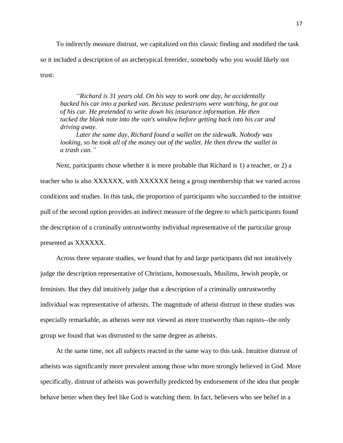To indirectly measure distrust, we capitalized on this classic finding and modified the task so it included a description of an archetypical freerider, somebody who you would likely not trust:

*"Richard is 31 years old. On his way to work one day, he accidentally backed his car into a parked van. Because pedestrians were watching, he got out of his car. He pretended to write down his insurance information. He then tucked the blank note into the van's window before getting back into his car and driving away.*

*Later the same day, Richard found a wallet on the sidewalk. Nobody was looking, so he took all of the money out of the wallet. He then threw the wallet in a trash can."*

Next, participants chose whether it is more probable that Richard is 1) a teacher, or 2) a teacher who is also XXXXXX, with XXXXXX being a group membership that we varied across conditions and studies. In this task, the proportion of participants who succumbed to the intuitive pull of the second option provides an indirect measure of the degree to which participants found the description of a criminally untrustworthy individual representative of the particular group presented as XXXXXX.

Across three separate studies, we found that by and large participants did not intuitively judge the description representative of Christians, homosexuals, Muslims, Jewish people, or feminists. But they did intuitively judge that a description of a criminally untrustworthy individual was representative of atheists. The magnitude of atheist distrust in these studies was especially remarkable, as atheists were not viewed as more trustworthy than rapists--the only group we found that was distrusted to the same degree as atheists.

At the same time, not all subjects reacted in the same way to this task. Intuitive distrust of atheists was significantly more prevalent among those who more strongly believed in God. More specifically, distrust of atheists was powerfully predicted by endorsement of the idea that people behave better when they feel like God is watching them. In fact, believers who see belief in a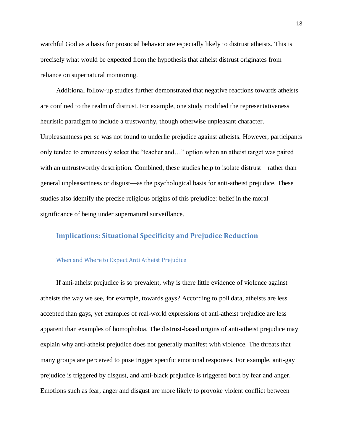watchful God as a basis for prosocial behavior are especially likely to distrust atheists. This is precisely what would be expected from the hypothesis that atheist distrust originates from reliance on supernatural monitoring.

Additional follow-up studies further demonstrated that negative reactions towards atheists are confined to the realm of distrust. For example, one study modified the representativeness heuristic paradigm to include a trustworthy, though otherwise unpleasant character. Unpleasantness per se was not found to underlie prejudice against atheists. However, participants only tended to erroneously select the "teacher and..." option when an atheist target was paired with an untrustworthy description. Combined, these studies help to isolate distrust—rather than general unpleasantness or disgust—as the psychological basis for anti-atheist prejudice. These studies also identify the precise religious origins of this prejudice: belief in the moral significance of being under supernatural surveillance.

## **Implications: Situational Specificity and Prejudice Reduction**

#### When and Where to Expect Anti Atheist Prejudice

If anti-atheist prejudice is so prevalent, why is there little evidence of violence against atheists the way we see, for example, towards gays? According to poll data, atheists are less accepted than gays, yet examples of real-world expressions of anti-atheist prejudice are less apparent than examples of homophobia. The distrust-based origins of anti-atheist prejudice may explain why anti-atheist prejudice does not generally manifest with violence. The threats that many groups are perceived to pose trigger specific emotional responses. For example, anti-gay prejudice is triggered by disgust, and anti-black prejudice is triggered both by fear and anger. Emotions such as fear, anger and disgust are more likely to provoke violent conflict between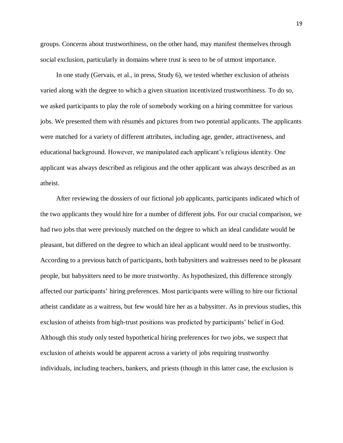groups. Concerns about trustworthiness, on the other hand, may manifest themselves through social exclusion, particularly in domains where trust is seen to be of utmost importance.

In one study (Gervais, et al., in press, Study 6), we tested whether exclusion of atheists varied along with the degree to which a given situation incentivized trustworthiness. To do so, we asked participants to play the role of somebody working on a hiring committee for various jobs. We presented them with résumés and pictures from two potential applicants. The applicants were matched for a variety of different attributes, including age, gender, attractiveness, and educational background. However, we manipulated each applicant's religious identity. One applicant was always described as religious and the other applicant was always described as an atheist.

After reviewing the dossiers of our fictional job applicants, participants indicated which of the two applicants they would hire for a number of different jobs. For our crucial comparison, we had two jobs that were previously matched on the degree to which an ideal candidate would be pleasant, but differed on the degree to which an ideal applicant would need to be trustworthy. According to a previous batch of participants, both babysitters and waitresses need to be pleasant people, but babysitters need to be more trustworthy. As hypothesized, this difference strongly affected our participants' hiring preferences. Most participants were willing to hire our fictional atheist candidate as a waitress, but few would hire her as a babysitter. As in previous studies, this exclusion of atheists from high-trust positions was predicted by participants' belief in God. Although this study only tested hypothetical hiring preferences for two jobs, we suspect that exclusion of atheists would be apparent across a variety of jobs requiring trustworthy individuals, including teachers, bankers, and priests (though in this latter case, the exclusion is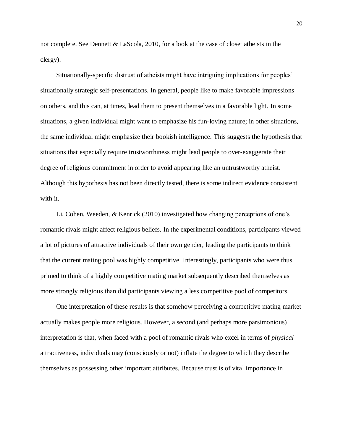not complete. See Dennett & LaScola, 2010, for a look at the case of closet atheists in the clergy).

Situationally-specific distrust of atheists might have intriguing implications for peoples' situationally strategic self-presentations. In general, people like to make favorable impressions on others, and this can, at times, lead them to present themselves in a favorable light. In some situations, a given individual might want to emphasize his fun-loving nature; in other situations, the same individual might emphasize their bookish intelligence. This suggests the hypothesis that situations that especially require trustworthiness might lead people to over-exaggerate their degree of religious commitment in order to avoid appearing like an untrustworthy atheist. Although this hypothesis has not been directly tested, there is some indirect evidence consistent with it.

Li, Cohen, Weeden, & Kenrick (2010) investigated how changing perceptions of one's romantic rivals might affect religious beliefs. In the experimental conditions, participants viewed a lot of pictures of attractive individuals of their own gender, leading the participants to think that the current mating pool was highly competitive. Interestingly, participants who were thus primed to think of a highly competitive mating market subsequently described themselves as more strongly religious than did participants viewing a less competitive pool of competitors.

One interpretation of these results is that somehow perceiving a competitive mating market actually makes people more religious. However, a second (and perhaps more parsimonious) interpretation is that, when faced with a pool of romantic rivals who excel in terms of *physical* attractiveness, individuals may (consciously or not) inflate the degree to which they describe themselves as possessing other important attributes. Because trust is of vital importance in

20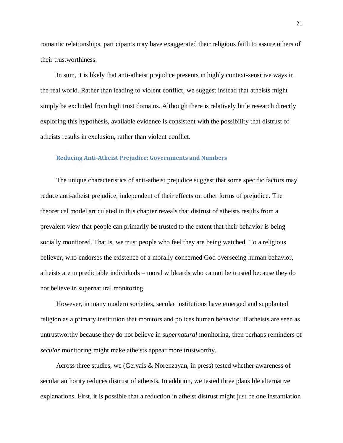romantic relationships, participants may have exaggerated their religious faith to assure others of their trustworthiness.

In sum, it is likely that anti-atheist prejudice presents in highly context-sensitive ways in the real world. Rather than leading to violent conflict, we suggest instead that atheists might simply be excluded from high trust domains. Although there is relatively little research directly exploring this hypothesis, available evidence is consistent with the possibility that distrust of atheists results in exclusion, rather than violent conflict.

#### **Reducing Anti-Atheist Prejudice**: **Governments and Numbers**

The unique characteristics of anti-atheist prejudice suggest that some specific factors may reduce anti-atheist prejudice, independent of their effects on other forms of prejudice. The theoretical model articulated in this chapter reveals that distrust of atheists results from a prevalent view that people can primarily be trusted to the extent that their behavior is being socially monitored. That is, we trust people who feel they are being watched. To a religious believer, who endorses the existence of a morally concerned God overseeing human behavior, atheists are unpredictable individuals – moral wildcards who cannot be trusted because they do not believe in supernatural monitoring.

However, in many modern societies, secular institutions have emerged and supplanted religion as a primary institution that monitors and polices human behavior. If atheists are seen as untrustworthy because they do not believe in *supernatural* monitoring, then perhaps reminders of *secular* monitoring might make atheists appear more trustworthy.

Across three studies, we (Gervais & Norenzayan, in press) tested whether awareness of secular authority reduces distrust of atheists. In addition, we tested three plausible alternative explanations. First, it is possible that a reduction in atheist distrust might just be one instantiation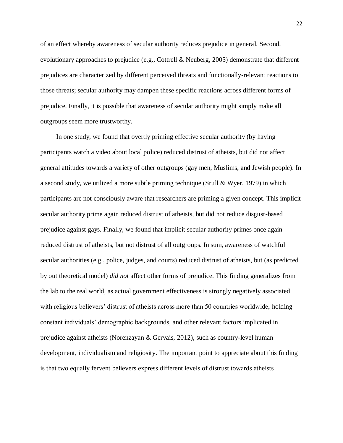of an effect whereby awareness of secular authority reduces prejudice in general. Second, evolutionary approaches to prejudice (e.g., Cottrell & Neuberg, 2005) demonstrate that different prejudices are characterized by different perceived threats and functionally-relevant reactions to those threats; secular authority may dampen these specific reactions across different forms of prejudice. Finally, it is possible that awareness of secular authority might simply make all outgroups seem more trustworthy.

In one study, we found that overtly priming effective secular authority (by having participants watch a video about local police) reduced distrust of atheists, but did not affect general attitudes towards a variety of other outgroups (gay men, Muslims, and Jewish people). In a second study, we utilized a more subtle priming technique (Srull  $& Wyer$ , 1979) in which participants are not consciously aware that researchers are priming a given concept. This implicit secular authority prime again reduced distrust of atheists, but did not reduce disgust-based prejudice against gays. Finally, we found that implicit secular authority primes once again reduced distrust of atheists, but not distrust of all outgroups. In sum, awareness of watchful secular authorities (e.g., police, judges, and courts) reduced distrust of atheists, but (as predicted by out theoretical model) *did not* affect other forms of prejudice. This finding generalizes from the lab to the real world, as actual government effectiveness is strongly negatively associated with religious believers' distrust of atheists across more than 50 countries worldwide, holding constant individuals' demographic backgrounds, and other relevant factors implicated in prejudice against atheists (Norenzayan & Gervais, 2012), such as country-level human development, individualism and religiosity. The important point to appreciate about this finding is that two equally fervent believers express different levels of distrust towards atheists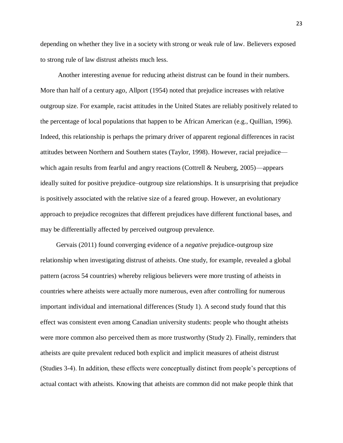depending on whether they live in a society with strong or weak rule of law. Believers exposed to strong rule of law distrust atheists much less.

Another interesting avenue for reducing atheist distrust can be found in their numbers. More than half of a century ago, Allport (1954) noted that prejudice increases with relative outgroup size. For example, racist attitudes in the United States are reliably positively related to the percentage of local populations that happen to be African American (e.g., Quillian, 1996). Indeed, this relationship is perhaps the primary driver of apparent regional differences in racist attitudes between Northern and Southern states (Taylor, 1998). However, racial prejudice which again results from fearful and angry reactions (Cottrell & Neuberg, 2005)—appears ideally suited for positive prejudice–outgroup size relationships. It is unsurprising that prejudice is positively associated with the relative size of a feared group. However, an evolutionary approach to prejudice recognizes that different prejudices have different functional bases, and may be differentially affected by perceived outgroup prevalence.

Gervais (2011) found converging evidence of a *negative* prejudice-outgroup size relationship when investigating distrust of atheists. One study, for example, revealed a global pattern (across 54 countries) whereby religious believers were more trusting of atheists in countries where atheists were actually more numerous, even after controlling for numerous important individual and international differences (Study 1). A second study found that this effect was consistent even among Canadian university students: people who thought atheists were more common also perceived them as more trustworthy (Study 2). Finally, reminders that atheists are quite prevalent reduced both explicit and implicit measures of atheist distrust (Studies 3-4). In addition, these effects were conceptually distinct from people's perceptions of actual contact with atheists. Knowing that atheists are common did not make people think that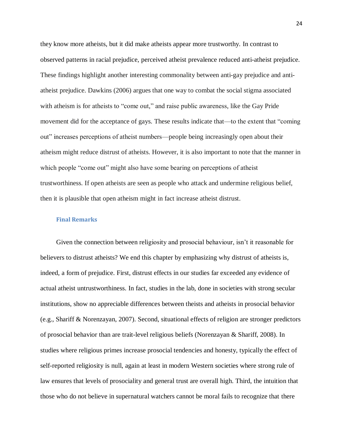they know more atheists, but it did make atheists appear more trustworthy. In contrast to observed patterns in racial prejudice, perceived atheist prevalence reduced anti-atheist prejudice. These findings highlight another interesting commonality between anti-gay prejudice and antiatheist prejudice. Dawkins (2006) argues that one way to combat the social stigma associated with atheism is for atheists to "come out," and raise public awareness, like the Gay Pride movement did for the acceptance of gays. These results indicate that—to the extent that "coming" out" increases perceptions of atheist numbers—people being increasingly open about their atheism might reduce distrust of atheists. However, it is also important to note that the manner in which people "come out" might also have some bearing on perceptions of atheist trustworthiness. If open atheists are seen as people who attack and undermine religious belief, then it is plausible that open atheism might in fact increase atheist distrust.

#### **Final Remarks**

Given the connection between religiosity and prosocial behaviour, isn't it reasonable for believers to distrust atheists? We end this chapter by emphasizing why distrust of atheists is, indeed, a form of prejudice. First, distrust effects in our studies far exceeded any evidence of actual atheist untrustworthiness. In fact, studies in the lab, done in societies with strong secular institutions, show no appreciable differences between theists and atheists in prosocial behavior (e.g., Shariff & Norenzayan, 2007). Second, situational effects of religion are stronger predictors of prosocial behavior than are trait-level religious beliefs (Norenzayan & Shariff, 2008). In studies where religious primes increase prosocial tendencies and honesty, typically the effect of self-reported religiosity is null, again at least in modern Western societies where strong rule of law ensures that levels of prosociality and general trust are overall high. Third, the intuition that those who do not believe in supernatural watchers cannot be moral fails to recognize that there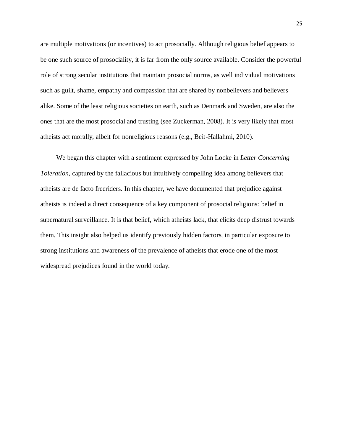are multiple motivations (or incentives) to act prosocially. Although religious belief appears to be one such source of prosociality, it is far from the only source available. Consider the powerful role of strong secular institutions that maintain prosocial norms, as well individual motivations such as guilt, shame, empathy and compassion that are shared by nonbelievers and believers alike. Some of the least religious societies on earth, such as Denmark and Sweden, are also the ones that are the most prosocial and trusting (see Zuckerman, 2008). It is very likely that most atheists act morally, albeit for nonreligious reasons (e.g., Beit-Hallahmi, 2010).

We began this chapter with a sentiment expressed by John Locke in *Letter Concerning Toleration*, captured by the fallacious but intuitively compelling idea among believers that atheists are de facto freeriders. In this chapter, we have documented that prejudice against atheists is indeed a direct consequence of a key component of prosocial religions: belief in supernatural surveillance. It is that belief, which atheists lack, that elicits deep distrust towards them. This insight also helped us identify previously hidden factors, in particular exposure to strong institutions and awareness of the prevalence of atheists that erode one of the most widespread prejudices found in the world today.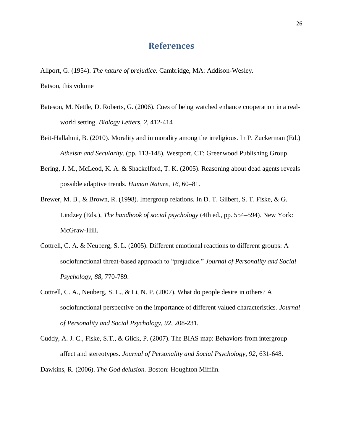# **References**

Allport, G. (1954). *The nature of prejudice.* Cambridge, MA: Addison-Wesley.

Batson, this volume

- Bateson, M. Nettle, D. Roberts, G. (2006). Cues of being watched enhance cooperation in a realworld setting. *Biology Letters, 2,* 412-414
- Beit-Hallahmi, B. (2010). Morality and immorality among the irreligious. In P. Zuckerman (Ed.) *Atheism and Secularity*. (pp. 113-148). Westport, CT: Greenwood Publishing Group.
- Bering, J. M., McLeod, K. A. & Shackelford, T. K. (2005). Reasoning about dead agents reveals possible adaptive trends. *Human Nature*, *16*, 60–81.
- Brewer, M. B., & Brown, R. (1998). Intergroup relations. In D. T. Gilbert, S. T. Fiske, & G. Lindzey (Eds.), *The handbook of social psychology* (4th ed., pp. 554–594). New York: McGraw-Hill.
- Cottrell, C. A. & Neuberg, S. L. (2005). Different emotional reactions to different groups: A sociofunctional threat-based approach to "prejudice." *Journal of Personality and Social Psychology, 88,* 770-789.
- Cottrell, C. A., Neuberg, S. L., & Li, N. P. (2007). What do people desire in others? A sociofunctional perspective on the importance of different valued characteristics. *Journal of Personality and Social Psychology, 92,* 208-231.

Cuddy, A. J. C., Fiske, S.T., & Glick, P. (2007). The BIAS map: Behaviors from intergroup affect and stereotypes. *Journal of Personality and Social Psychology, 92*, 631-648.

Dawkins, R. (2006). *The God delusion.* Boston: Houghton Mifflin.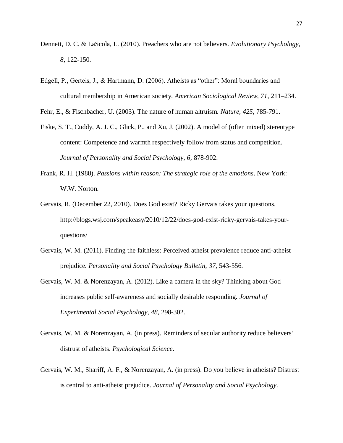- Dennett, D. C. & LaScola, L. (2010). Preachers who are not believers. *Evolutionary Psychology, 8,* 122-150.
- Edgell, P., Gerteis, J., & Hartmann, D. (2006). Atheists as "other": Moral boundaries and cultural membership in American society. *American Sociological Review, 71*, 211–234.

Fehr, E., & Fischbacher, U. (2003). The nature of human altruism. *Nature, 425*, 785-791.

- Fiske, S. T., Cuddy, A. J. C., Glick, P., and Xu, J. (2002). A model of (often mixed) stereotype content: Competence and warmth respectively follow from status and competition. *Journal of Personality and Social Psychology, 6,* 878-902.
- Frank, R. H. (1988). *Passions within reason: The strategic role of the emotions*. New York: W.W. Norton.
- Gervais, R. (December 22, 2010). Does God exist? Ricky Gervais takes your questions. http://blogs.wsj.com/speakeasy/2010/12/22/does-god-exist-ricky-gervais-takes-yourquestions/
- Gervais, W. M. (2011). Finding the faithless: Perceived atheist prevalence reduce anti-atheist prejudice*. Personality and Social Psychology Bulletin, 37,* 543-556.
- Gervais, W. M. & Norenzayan, A. (2012). Like a camera in the sky? Thinking about God increases public self-awareness and socially desirable responding. *Journal of Experimental Social Psychology, 48,* 298-302.
- Gervais, W. M. & Norenzayan, A. (in press). Reminders of secular authority reduce believers' distrust of atheists. *Psychological Science*.
- Gervais, W. M., Shariff, A. F., & Norenzayan, A. (in press). Do you believe in atheists? Distrust is central to anti-atheist prejudice. *Journal of Personality and Social Psychology*.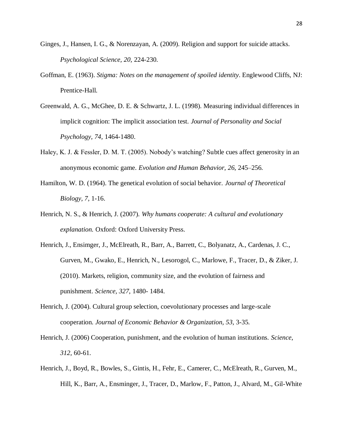- Ginges, J., Hansen, I. G., & Norenzayan, A. (2009). Religion and support for suicide attacks. *Psychological Science, 20,* 224-230.
- Goffman, E. (1963). *Stigma: Notes on the management of spoiled identity*. Englewood Cliffs, NJ: Prentice-Hall.
- Greenwald, A. G., McGhee, D. E. & Schwartz, J. L. (1998). Measuring individual differences in implicit cognition: The implicit association test. *Journal of Personality and Social Psychology, 74,* 1464-1480.
- Haley, K. J. & Fessler, D. M. T. (2005). Nobody's watching? Subtle cues affect generosity in an anonymous economic game. *Evolution and Human Behavior, 26*, 245–256.
- Hamilton, W. D. (1964). The genetical evolution of social behavior. *Journal of Theoretical Biology, 7,* 1-16.
- Henrich, N. S., & Henrich, J. (2007). *Why humans cooperate: A cultural and evolutionary explanation.* Oxford: Oxford University Press.
- Henrich, J., Ensimger, J., McElreath, R., Barr, A., Barrett, C., Bolyanatz, A., Cardenas, J. C., Gurven, M., Gwako, E., Henrich, N., Lesorogol, C., Marlowe, F., Tracer, D., & Ziker, J. (2010). Markets, religion, community size, and the evolution of fairness and punishment. *Science, 327*, 1480- 1484.
- Henrich, J. (2004). Cultural group selection, coevolutionary processes and large-scale cooperation. *Journal of Economic Behavior & Organization, 53,* 3-35.
- Henrich, J. (2006) Cooperation, punishment, and the evolution of human institutions. *Science*, *312,* 60-61.
- Henrich, J., Boyd, R., Bowles, S., Gintis, H., Fehr, E., Camerer, C., McElreath, R., Gurven, M., Hill, K., Barr, A., Ensminger, J., Tracer, D., Marlow, F., Patton, J., Alvard, M., Gil-White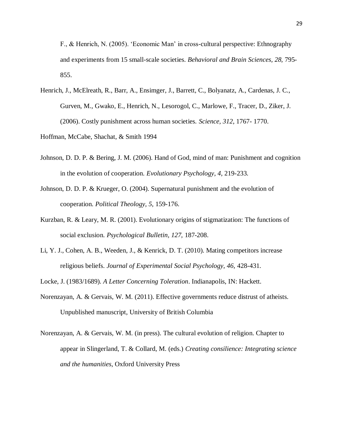F., & Henrich, N. (2005). ‗Economic Man' in cross-cultural perspective: Ethnography and experiments from 15 small-scale societies. *Behavioral and Brain Sciences, 28,* 795- 855.

Henrich, J., McElreath, R., Barr, A., Ensimger, J., Barrett, C., Bolyanatz, A., Cardenas, J. C., Gurven, M., Gwako, E., Henrich, N., Lesorogol, C., Marlowe, F., Tracer, D., Ziker, J. (2006). Costly punishment across human societies. *Science, 312*, 1767- 1770.

Hoffman, McCabe, Shachat, & Smith 1994

- Johnson, D. D. P. & Bering, J. M. (2006). Hand of God, mind of man: Punishment and cognition in the evolution of cooperation. *Evolutionary Psychology, 4,* 219-233.
- Johnson, D. D. P. & Krueger, O. (2004). Supernatural punishment and the evolution of cooperation. *Political Theology, 5*, 159-176.
- Kurzban, R. & Leary, M. R. (2001). Evolutionary origins of stigmatization: The functions of social exclusion. *Psychological Bulletin, 127,* 187-208.
- Li, Y. J., Cohen, A. B., Weeden, J., & Kenrick, D. T. (2010). Mating competitors increase religious beliefs. *Journal of Experimental Social Psychology, 46,* 428-431.
- Locke, J. (1983/1689). *A Letter Concerning Toleration*. Indianapolis, IN: Hackett.
- Norenzayan, A. & Gervais, W. M. (2011). Effective governments reduce distrust of atheists. Unpublished manuscript, University of British Columbia
- Norenzayan, A. & Gervais, W. M. (in press). The cultural evolution of religion. Chapter to appear in Slingerland, T. & Collard, M. (eds.) *Creating consilience: Integrating science and the humanities*, Oxford University Press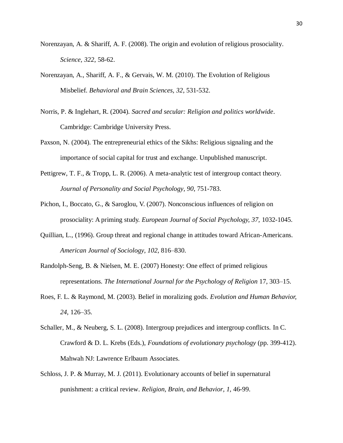- Norenzayan, A. & Shariff, A. F. (2008). The origin and evolution of religious prosociality. *Science, 322*, 58-62.
- Norenzayan, A., Shariff, A. F., & Gervais, W. M. (2010). The Evolution of Religious Misbelief. *Behavioral and Brain Sciences, 32*, 531-532.
- Norris, P. & Inglehart, R. (2004). *Sacred and secular: Religion and politics worldwide*. Cambridge: Cambridge University Press.
- Paxson, N. (2004). The entrepreneurial ethics of the Sikhs: Religious signaling and the importance of social capital for trust and exchange. Unpublished manuscript.
- Pettigrew, T. F., & Tropp, L. R. (2006). A meta-analytic test of intergroup contact theory. *Journal of Personality and Social Psychology, 90*, 751-783.
- Pichon, I., Boccato, G., & Saroglou, V. (2007). Nonconscious influences of religion on prosociality: A priming study. *European Journal of Social Psychology, 37,* 1032-1045.
- Quillian, L., (1996). Group threat and regional change in attitudes toward African-Americans. *American Journal of Sociology, 102*, 816–830.
- Randolph-Seng, B. & Nielsen, M. E. (2007) Honesty: One effect of primed religious representations. *The International Journal for the Psychology of Religion* 17, 303–15.
- Roes, F. L. & Raymond, M. (2003). Belief in moralizing gods. *Evolution and Human Behavior, 24*, 126–35.
- Schaller, M., & Neuberg, S. L. (2008). Intergroup prejudices and intergroup conflicts. In C. Crawford & D. L. Krebs (Eds.), *Foundations of evolutionary psychology* (pp. 399-412). Mahwah NJ: Lawrence Erlbaum Associates.
- Schloss, J. P. & Murray, M. J. (2011). Evolutionary accounts of belief in supernatural punishment: a critical review. *Religion, Brain, and Behavior, 1,* 46-99.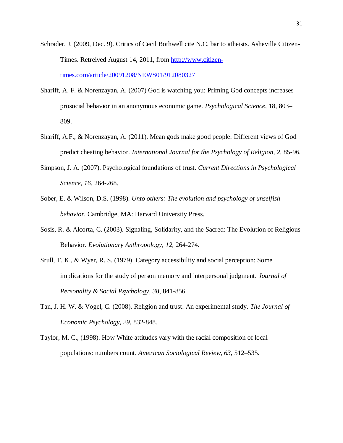- Schrader, J. (2009, Dec. 9). Critics of Cecil Bothwell cite N.C. bar to atheists. Asheville Citizen-Times. Retreived August 14, 2011, from [http://www.citizen](http://www.citizen-times.com/article/20091208/NEWS01/912080327)[times.com/article/20091208/NEWS01/912080327](http://www.citizen-times.com/article/20091208/NEWS01/912080327)
- Shariff, A. F. & Norenzayan, A. (2007) God is watching you: Priming God concepts increases prosocial behavior in an anonymous economic game. *Psychological Science,* 18, 803– 809.
- Shariff, A.F., & Norenzayan, A. (2011). Mean gods make good people: Different views of God predict cheating behavior. *International Journal for the Psychology of Religion, 2,* 85-96*.*
- Simpson, J. A. (2007). Psychological foundations of trust. *Current Directions in Psychological Science, 16,* 264-268.
- Sober, E. & Wilson, D.S. (1998). *Unto others: The evolution and psychology of unselfish behavior*. Cambridge, MA: Harvard University Press.
- Sosis, R. & Alcorta, C. (2003). Signaling, Solidarity, and the Sacred: The Evolution of Religious Behavior. *Evolutionary Anthropology, 12,* 264-274.
- Srull, T. K., & Wyer, R. S. (1979). Category accessibility and social perception: Some implications for the study of person memory and interpersonal judgment. *Journal of Personality & Social Psychology, 38*, 841-856.
- Tan, J. H. W. & Vogel, C. (2008). Religion and trust: An experimental study. *The Journal of Economic Psychology, 29,* 832-848*.*
- Taylor, M. C., (1998). How White attitudes vary with the racial composition of local populations: numbers count. *American Sociological Review, 63*, 512–535.